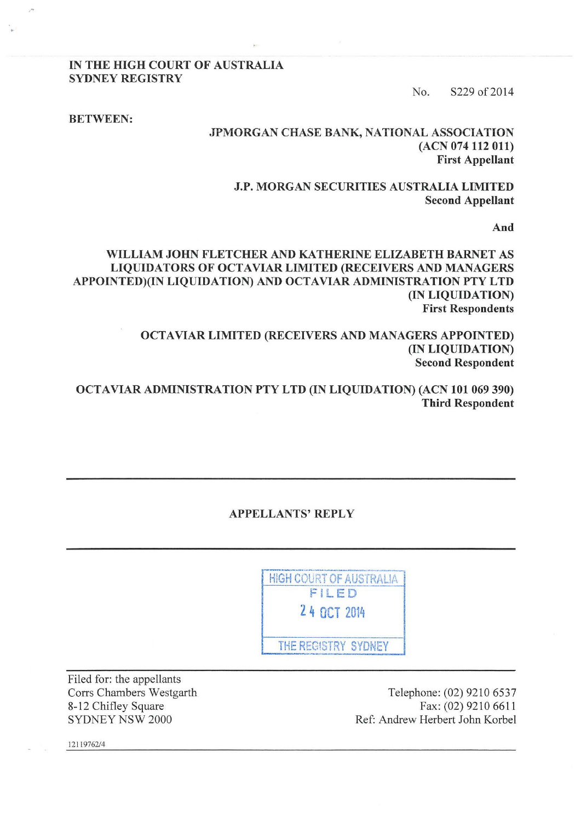IN THE HIGH COURT OF AUSTRALIA SYDNEY REGISTRY

No. S229 of 2014

BETWEEN:

#### JPMORGAN CHASE BANK, NATIONAL ASSOCIATION (ACN 074 112 011) First Appellant

J.P. MORGAN SECURITIES AUSTRALIA LIMITED Second Appellant

And

WILLIAM JOHN FLETCHER AND KATHERINE ELIZABETH BARNET AS LIQUIDATORS OF OCTAVIAR LIMITED (RECEIVERS AND MANAGERS APPOINTED)(IN LIQUIDATION) AND OCTA VIAR ADMINISTRATION PTY LTD (IN LIQUIDATION) First Respondents

> OCTAVIAR LIMITED (RECEIVERS AND MANAGERS APPOINTED) (IN LIQUIDATION) Second Respondent

OCTAVIAR ADMINISTRATION PTY LTD (IN LIQUIDATION) (ACN 101 069 390) Third Respondent

APPELLANTS' REPLY

**HIGH COURT OF AUSTRALIA** FILED 2 4 OCT 2014 THE REGISTRY SYDNEY

Filed for: the appellants Corrs Chambers Westgarth 8-12 Chifley Square SYDNEY NSW 2000

Telephone: (02) 9210 6537 Fax: (02) 9210 6611 Ref: Andrew Herbert John Korbel

12119762/4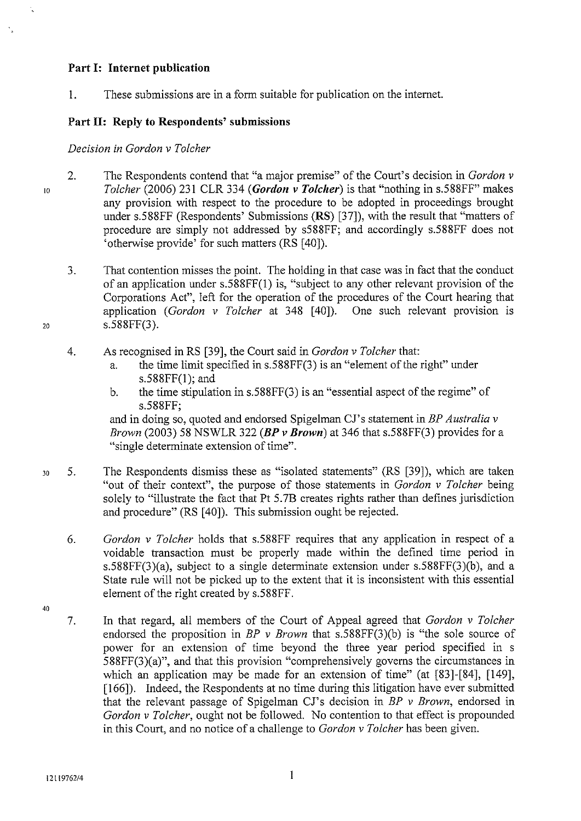### **Part 1: Internet publication**

I. These submissions are in a form suitable for publication on the internet.

## **Part II: Reply to Respondents' submissions**

*Decision in Gordon v Tolcher* 

10

20

- 2. The Respondents contend that "a major premise" of the Court's decision in *Gordon v Tolcher* (2006) 231 CLR 334 *(Gordon v Tolcher)* is that "nothing in s.588FF" makes any provision with respect to the procedure to be adopted in proceedings brought under s.588FF (Respondents' Submissions **(RS)** [37]), with the result that "matters of procedure are simply not addressed by s588FF; and accordingly s.588FF does not 'otherwise provide' for such matters (RS [40]).
	- 3. That contention misses the point. The holding in that case was in fact that the conduct of an application under s.588FF(l) is, "subject to any other relevant provision of the Corporations Act", left for the operation of the procedures of the Court hearing that application *(Gordon v Tolcher* at 348 [40]). One such relevant provision is s.588FF(3).
	- 4. As recognised in RS [39], the Court said in *Gordon v Tolcher* that:
		- a. the time limit specified in s.588FF(3) is an "element of the right" under s.588FF(l); and
		- b. the time stipulation in s.588FF(3) is an "essential aspect of the regime" of s.588FF;

and in doing so, quoted and endorsed Spigelman CJ's statement in *BP Australia v Brown* (2003) 58 NSWLR 322 *(BP v Brown)* at 346 that s.588FF(3) provides for a "single determinate extension of time".

- 30 5. The Respondents dismiss these as "isolated statements" (RS [39]), which are taken "out of their context", the purpose of those statements in *Gordon v Tolcher* being solely to "illustrate the fact that Pt 5.7B creates rights rather than defines jurisdiction and procedure" (RS [40]). This submission ought be rejected.
	- 6. *Gordon v Tolcher* holds that s.588FF requires that any application in respect of a voidable transaction must be properly made within the defined time period in s.588FF(3)(a), subject to a single determinate extension under s.588FF(3)(b), and a State rule will not be picked up to the extent that it is inconsistent with this essential element of the right created by s.588FF.
	- 7. In that regard, all members of the Court of Appeal agreed that *Gordon v Tolcher*  endorsed the proposition in *BP v Brown* that s.588FF(3)(b) is "the sole source of power for an extension of time beyond the three year period specified in s 588FF(3)(a)", and that this provision "comprehensively governs the circumstances in which an application may be made for an extension of time" (at [83]-[84], [149], [166]). Indeed, the Respondents at no time during this litigation have ever submitted that the relevant passage of Spigelman CJ's decision in *BP v Brown,* endorsed in *Gordon v Tolcher,* ought not be followed. No contention to that effect is propounded in this Court, and no notice of a challenge to *Gordon v Tolcher* has been given.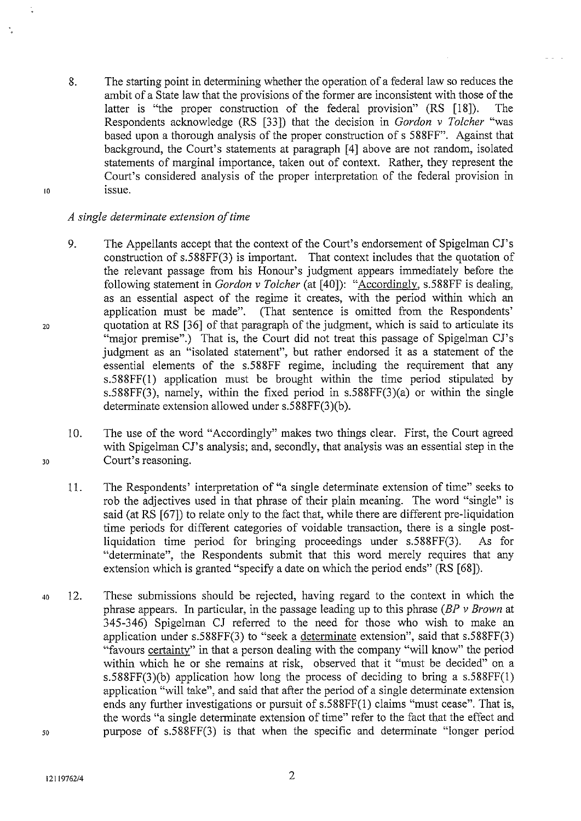- 8. The starting point in determining whether the operation of a federal law so reduces the ambit of a State law that the provisions of the former are inconsistent with those of the latter is "the proper construction of the federal provision" (RS [18]). The Respondents acknowledge (RS [33]) that the decision in *Gordon v Tolcher* "was based upon a thorough analysis of the proper construction of s 588FF". Against that background, the Court's statements at paragraph [4] above are not random, isolated statements of marginal importance, taken out of context. Rather, they represent the Court's considered analysis of the proper interpretation of the federal provision in issue.
- 10

20

# *A single determinate extension of time*

- 9. The Appellants accept that the context of the Court's endorsement of Spigelman CJ's construction of s.588FF(3) is important. That context includes that the quotation of the relevant passage from his Honour's judgment appears immediately before the following statement in *Gordon v Tolcher* (at [40]): "Accordingly, s.588FF is dealing, as an essential aspect of the regime it creates, with the period within which an application must be made". (That sentence is omitted from the Respondents' (That sentence is omitted from the Respondents' quotation at RS [36] of that paragraph of the judgment, which is said to articulate its "major premise".) That is, the Court did not treat this passage of Spigelman CJ's judgment as an "isolated statement", but rather endorsed it as a statement of the essential elements of the s.588FF regime, including the requirement that any s.588FF(l) application must be brought within the time period stipulated by s.588FF(3), namely, within the fixed period in s.588FF(3)(a) or within the single determinate extension allowed under s.588FF(3)(b).
- 10. The use of the word "Accordingly" makes two things clear. First, the Court agreed with Spigelman CJ's analysis; and, secondly, that analysis was an essential step in the Court's reasoning.
- 11. The Respondents' interpretation of "a single determinate extension of time" seeks to rob the adjectives used in that phrase of their plain meaning. The word "single" is said (at RS [67]) to relate only to the fact that, while there are different pre-liquidation time periods for different categories of voidable transaction, there is a single postliquidation time period for bringing proceedings under s.588FF(3). As for "determinate", the Respondents submit that this word merely requires that any extension which is granted "specify a date on which the period ends" (RS [68]).
- 40 12. These submissions should be rejected, having regard to the context in which the phrase appears. In particular, in the passage leading up to this phrase *(BP v Brown* at 345-346) Spigelman CJ referred to the need for those who wish to make an application under s.588FF(3) to "seek a determinate extension", said that s.588FF(3) "favours certainty" in that a person dealing with the company "will know" the period within which he or she remains at risk, observed that it "must be decided" on a s.588FF(3)(b) application how long the process of deciding to bring a s.588FF(l) application "will take", and said that after the period of a single determinate extension ends any further investigations or pursuit of s.588FF(l) claims "must cease". That is, the words "a single determinate extension of time" refer to the fact that the effect and 50 purpose of s.588FF(3) is that when the specific and determinate "longer period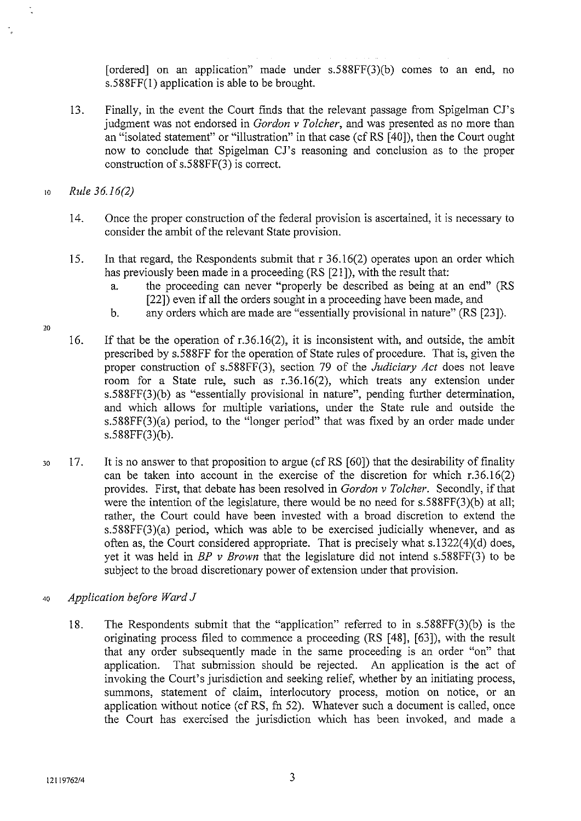[ordered] on an application" made under  $s.588FF(3)(b)$  comes to an end, no s.588FF(l) application is able to be brought.

13. Finally, in the event the Court finds that the relevant passage from Spigelman CJ's judgment was not endorsed in *Gordon v Tolcher,* and was presented as no more than an "isolated statement" or "illustration" in that case (cf RS [40]), then the Court ought now to conclude that Spigelman CJ's reasoning and conclusion as to the proper construction of s.588FF(3) is correct.

<sup>10</sup>*Rule 36.16(2)* 

- 14. Once the proper construction of the federal provision is ascertained, it is necessary to consider the ambit of the relevant State provision.
- 15. In that regard, the Respondents submit that r 36.16(2) operates upon an order which has previously been made in a proceeding (RS [21 ]), with the result that:
	- a. the proceeding can never "properly be described as being at an end" (RS [22]) even if all the orders sought in a proceeding have been made, and
	- b. any orders which are made are "essentially provisional in nature" (RS [23]).
- 16. If that be the operation of r.36.16(2), it is inconsistent with, and outside, the ambit prescribed by s.588FF for the operation of State rules of procedure. That is, given the proper construction of s.588FF(3), section 79 of the *Judiciary Act* does not leave room for a State rule, such as r.36.16(2), which treats any extension under s.588FF(3)(b) as "essentially provisional in nature", pending further determination, and which allows for multiple variations, under the State rule and outside the s.588FF(3)(a) period, to the "longer period" that was fixed by an order made under s.588FF(3)(b).
- 30 17. It is no answer to that proposition to argue (cfRS [60]) that the desirability of finality can be taken into account in the exercise of the discretion for which r.36.16(2) provides. First, that debate has been resolved in *Gordon v Tolcher.* Secondly, if that were the intention of the legislature, there would be no need for s.588FF(3)(b) at all; rather, the Court could have been invested with a broad discretion to extend the s.588FF(3)(a) period, which was able to be exercised judicially whenever, and as often as, the Court considered appropriate. That is precisely what s.l322(4)(d) does, yet it was held in *BP v Brown* that the legislature did not intend s.588FF(3) to be subject to the broad discretionary power of extension under that provision.
- 4o *Application before Ward J* 
	- 18. The Respondents submit that the "application" referred to in s.588FF(3)(b) is the originating process filed to commence a proceeding (RS [48], [63]), with the result that any order subsequently made in the same proceeding is an order "on" that application. That submission should be rejected. An application is the act of invoking the Court's jurisdiction and seeking relief, whether by an initiating process, summons, statement of claim, interlocutory process, motion on notice, or an application without notice (cf RS, fn 52). Whatever such a document is called, once the Court has exercised the jurisdiction which has been invoked, and made a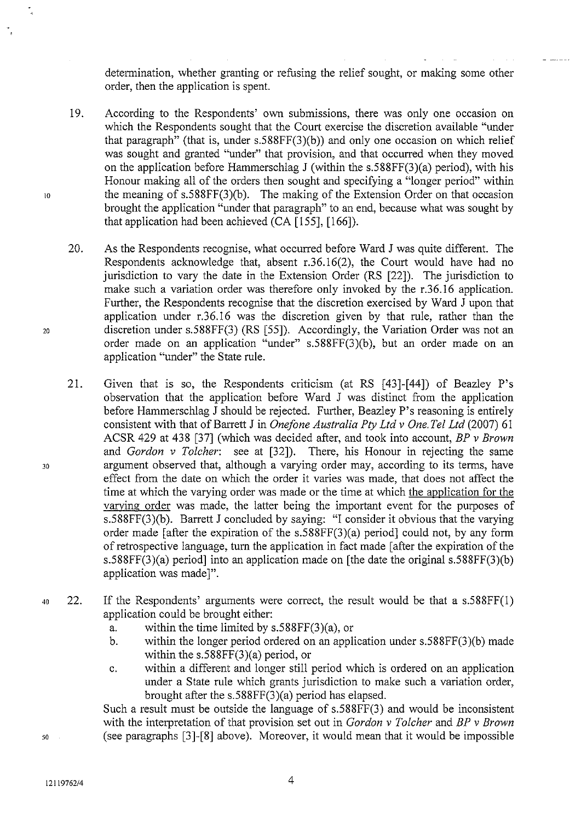determination, whether granting or refusing the relief sought, or making some other order, then the application is spent.

- 19. According to the Respondents' own submissions, there was only one occasion on which the Respondents sought that the Court exercise the discretion available "under that paragraph" (that is, under  $s.588FF(3)(b)$ ) and only one occasion on which relief was sought and granted "under" that provision, and that occurred when they moved on the application before Hammerschlag J (within the s.588FF(3)(a) period), with his Honour making all of the orders then sought and specifying a "longer period" within the meaning of  $s.588FF(3)(b)$ . The making of the Extension Order on that occasion brought the application "under that paragraph" to an end, because what was sought by that application had been achieved (CA [155], [166]).
- 20. As the Respondents recognise, what occurred before Ward J was quite different. The Respondents acknowledge that, absent r.36.16(2), the Court would have had no jurisdiction to vary the date in the Extension Order (RS [22]). The jurisdiction to make such a variation order was therefore only invoked by the r.36.16 application. Further, the Respondents recognise that the discretion exercised by Ward J upon that application under r.36.16 was the discretion given by that rule, rather than the discretion under s.588FF(3) (RS [55]). Accordingly, the Variation Order was not an order made on an application "under" s.588FF(3)(b), but an order made on an application "under" the State rule.
- 21. Given that is so, the Respondents criticism (at RS  $[43]$ - $[44]$ ) of Beazley P's observation that the application before Ward J was distinct from the application before Hammerschlag J should be rejected. Further, Beazley P's reasoning is entirely consistent with that of Barrett J in *Onefone Australia Pty Ltd v One. Tel Ltd* (2007) 61 ACSR 429 at 438 [37] (which was decided after, and took into account, *BP v Brown*  There, his Honour in rejecting the same argument observed that, although a varying order may, according to its terms, have effect from the date on which the order it varies was made, that does not affect the time at which the varying order was made or the time at which the application for the varving order was made, the latter being the important event for the purposes of s.588FF(3)(b). Barrett J concluded by saying: "I consider it obvious that the varying order made [after the expiration of the s.588FF(3)(a) period] could not, by any form of retrospective language, tum the application in fact made [after the expiration of the s.588FF(3)(a) period] into an application made on [the date the original s.588FF(3)(b) application was made]".
- 40 22. If the Respondents' arguments were correct, the result would be that a s.588FF(l) application could be brought either:
	- a. within the time limited by  $s.588FF(3)(a)$ , or
	- b. within the longer period ordered on an application under s.588FF(3)(b) made within the s.588FF(3)(a) period, or
	- c. within a different and longer still period which is ordered on an application under a State rule which grants jurisdiction to make such a variation order, brought after the s.588FF(3)(a) period has elapsed.

Such a result must be outside the language of s.588FF(3) and would be inconsistent with the interpretation of that provision set out in *Gordon v Tolcher* and *BP v Brown*  (see paragraphs [3]-[8] above). Moreover, it would mean that it would be impossible

12119762/4

*50* 

10

20

30